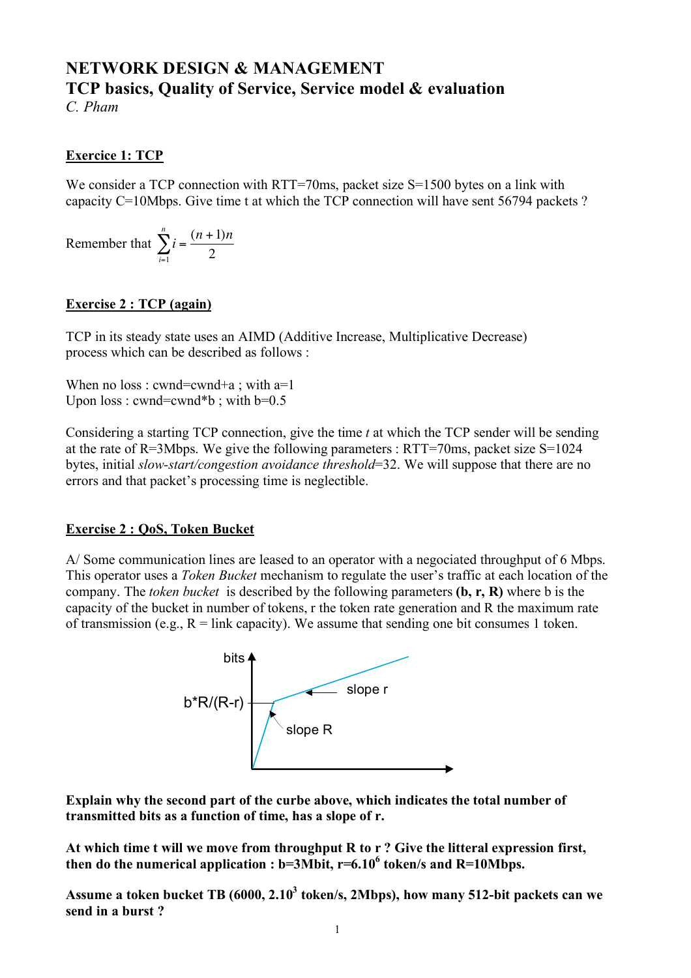# **NETWORK DESIGN & MANAGEMENT TCP basics, Quality of Service, Service model & evaluation**

*C. Pham*

# **Exercice 1: TCP**

We consider a TCP connection with RTT=70ms, packet size S=1500 bytes on a link with capacity C=10Mbps. Give time t at which the TCP connection will have sent 56794 packets ?

Remember that  $\sum_{i=1}^{n} i = \frac{(n+1)n}{2}$  $\sum_{i=1}$  2  $\sum^n$ 

#### ! **Exercise 2 : TCP (again)**

TCP in its steady state uses an AIMD (Additive Increase, Multiplicative Decrease) process which can be described as follows :

When no loss : cwnd=cwnd+a ; with  $a=1$ Upon  $loss:$  cwnd=cwnd\*b ; with  $b=0.5$ 

Considering a starting TCP connection, give the time *t* at which the TCP sender will be sending at the rate of R=3Mbps. We give the following parameters : RTT=70ms, packet size S=1024 bytes, initial *slow-start/congestion avoidance threshold*=32. We will suppose that there are no errors and that packet's processing time is neglectible.

# **Exercise 2 : QoS, Token Bucket**

A/ Some communication lines are leased to an operator with a negociated throughput of 6 Mbps. This operator uses a *Token Bucket* mechanism to regulate the user's traffic at each location of the company. The *token bucket* is described by the following parameters **(b, r, R)** where b is the capacity of the bucket in number of tokens, r the token rate generation and R the maximum rate of transmission (e.g.,  $R =$  link capacity). We assume that sending one bit consumes 1 token.



**Explain why the second part of the curbe above, which indicates the total number of transmitted bits as a function of time, has a slope of r.**

**At which time t will we move from throughput R to r ? Give the litteral expression first, then do the numerical application : b=3Mbit, r=6.106 token/s and R=10Mbps.** 

Assume a token bucket TB (6000, 2.10<sup>3</sup> token/s, 2Mbps), how many 512-bit packets can we **send in a burst ?**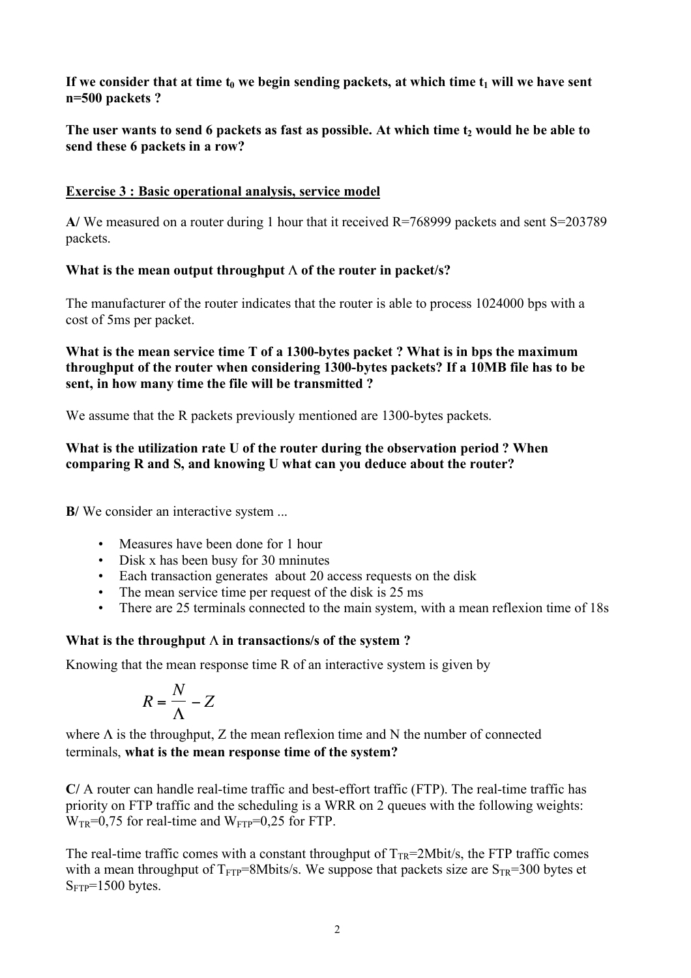If we consider that at time  $t_0$  we begin sending packets, at which time  $t_1$  will we have sent **n=500 packets ?**

The user wants to send 6 packets as fast as possible. At which time t<sub>2</sub> would he be able to **send these 6 packets in a row?**

### **Exercise 3 : Basic operational analysis, service model**

**A/** We measured on a router during 1 hour that it received R=768999 packets and sent S=203789 packets.

## **What is the mean output throughput** Λ **of the router in packet/s?**

The manufacturer of the router indicates that the router is able to process 1024000 bps with a cost of 5ms per packet.

### **What is the mean service time T of a 1300-bytes packet ? What is in bps the maximum throughput of the router when considering 1300-bytes packets? If a 10MB file has to be sent, in how many time the file will be transmitted ?**

We assume that the R packets previously mentioned are 1300-bytes packets.

### **What is the utilization rate U of the router during the observation period ? When comparing R and S, and knowing U what can you deduce about the router?**

**B**/ We consider an interactive system ...

- Measures have been done for 1 hour
- Disk x has been busy for 30 mninutes
- Each transaction generates about 20 access requests on the disk
- The mean service time per request of the disk is 25 ms
- There are 25 terminals connected to the main system, with a mean reflexion time of 18s<br>• There are 25 terminals connected to the main system, with a mean reflexion time of 18s *Z*

# **What is the throughput**  $\Lambda$  in transactions/s of the system ?

Knowing that the mean response time R of an interactive system is given by

$$
R = \frac{N}{\Lambda} - Z
$$

where  $\Lambda$  is the throughput, Z the mean reflexion time and N the number of connected terminals, **what is the mean response time of the system?**

**C/** A router can handle real-time traffic and best-effort traffic (FTP). The real-time traffic has priority on FTP traffic and the scheduling is a WRR on 2 queues with the following weights:  $W_{TR}$ =0,75 for real-time and  $W_{FTP}$ =0,25 for FTP.

The real-time traffic comes with a constant throughput of  $T_{TR}=2Mbit/s$ , the FTP traffic comes with a mean throughput of  $T_{FTP}=8Mbits/s$ . We suppose that packets size are  $S_{TR}=300$  bytes et  $S_{FTP}=1500$  bytes.